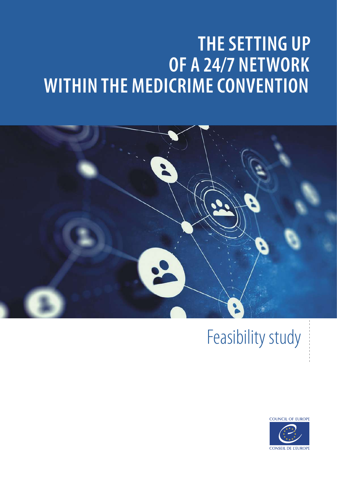## **THE SETTING UP OF A 24/7 NETWORK WITHIN THE MEDICRIME CONVENTION**



# Feasibility study

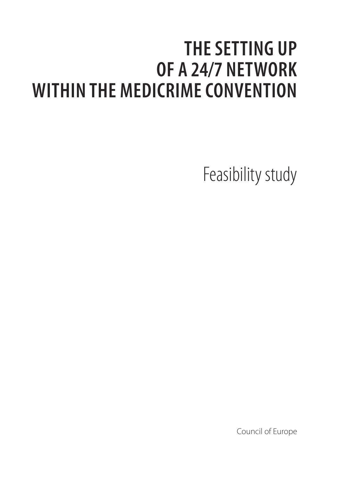## **THE SETTING UP OF A 24/7 NETWORK WITHIN THE MEDICRIME CONVENTION**

Feasibility study

Council of Europe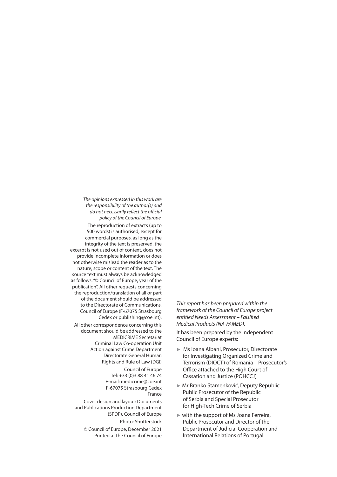*The opinions expressed in this work are the responsibility of the author(s) and do not necessarily reflect the official policy of the Council of Europe.*

The reproduction of extracts (up to 500 words) is authorised, except for commercial purposes, as long as the integrity of the text is preserved, the excerpt is not used out of context, does not provide incomplete information or does not otherwise mislead the reader as to the nature, scope or content of the text. The source text must always be acknowledged as follows: "© Council of Europe, year of the publication". All other requests concerning the reproduction/translation of all or part of the document should be addressed to the Directorate of Communications, Council of Europe (F-67075 Strasbourg Cedex or publishing@coe.int).

All other correspondence concerning this document should be addressed to the MEDICRIME Secretariat Criminal Law Co-operation Unit Action against Crime Department Directorate General Human Rights and Rule of Law (DGI)

> Council of Europe Tel: +33 (0)3 88 41 46 74 E-mail: medicrime@coe.int F-67075 Strasbourg Cedex France

Cover design and layout: Documents and Publications Production Department (SPDP), Council of Europe

Photo: Shutterstock

© Council of Europe, December 2021 Printed at the Council of Europe *This report has been prepared within the framework of the Council of Europe project entitled Needs Assessment – Falsified Medical Products (NA-FAMED).*

It has been prepared by the independent Council of Europe experts:

- ► Ms Ioana Albani, Prosecutor, Directorate for Investigating Organized Crime and Terrorism (DIOCT) of Romania – Prosecutor's Office attached to the High Court of Cassation and Justice (POHCCJ)
- ► Mr Branko Stamenković, Deputy Republic Public Prosecutor of the Republic of Serbia and Special Prosecutor for High-Tech Crime of Serbia
- ► with the support of Ms Joana Ferreira, Public Prosecutor and Director of the Department of Judicial Cooperation and International Relations of Portugal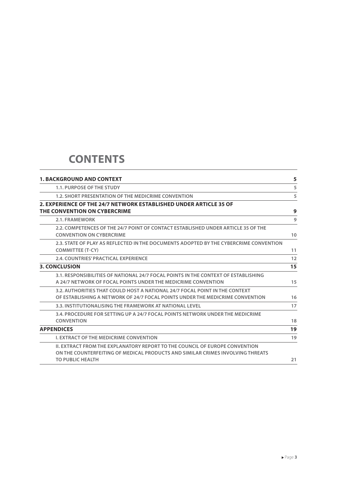### **CONTENTS**

| <b>1. BACKGROUND AND CONTEXT</b>                                                                                                                                                                | 5  |
|-------------------------------------------------------------------------------------------------------------------------------------------------------------------------------------------------|----|
| <b>1.1. PURPOSE OF THE STUDY</b>                                                                                                                                                                | 5  |
| 1.2. SHORT PRESENTATION OF THE MEDICRIME CONVENTION                                                                                                                                             | 5  |
| 2. EXPERIENCE OF THE 24/7 NETWORK ESTABLISHED UNDER ARTICLE 35 OF<br>THE CONVENTION ON CYBERCRIME                                                                                               | 9  |
| 2.1. FRAMEWORK                                                                                                                                                                                  | 9  |
| 2.2. COMPETENCES OF THE 24/7 POINT OF CONTACT ESTABLISHED UNDER ARTICLE 35 OF THE<br><b>CONVENTION ON CYBERCRIME</b>                                                                            | 10 |
| 2.3. STATE OF PLAY AS REFLECTED IN THE DOCUMENTS ADOPTED BY THE CYBERCRIME CONVENTION<br><b>COMMITTEE (T-CY)</b>                                                                                | 11 |
| 2.4. COUNTRIES' PRACTICAL EXPERIENCE                                                                                                                                                            | 12 |
| <b>3. CONCLUSION</b>                                                                                                                                                                            | 15 |
| 3.1. RESPONSIBILITIES OF NATIONAL 24/7 FOCAL POINTS IN THE CONTEXT OF ESTABLISHING<br>A 24/7 NETWORK OF FOCAL POINTS UNDER THE MEDICRIME CONVENTION                                             | 15 |
| 3.2. AUTHORITIES THAT COULD HOST A NATIONAL 24/7 FOCAL POINT IN THE CONTEXT<br>OF ESTABLISHING A NETWORK OF 24/7 FOCAL POINTS UNDER THE MEDICRIME CONVENTION                                    | 16 |
| 3.3. INSTITUTIONALISING THE FRAMEWORK AT NATIONAL LEVEL                                                                                                                                         | 17 |
| 3.4. PROCEDURE FOR SETTING UP A 24/7 FOCAL POINTS NETWORK UNDER THE MEDICRIME<br><b>CONVENTION</b>                                                                                              | 18 |
| <b>APPENDICES</b>                                                                                                                                                                               | 19 |
| <b>L EXTRACT OF THE MEDICRIME CONVENTION</b>                                                                                                                                                    | 19 |
| <b>II. EXTRACT FROM THE EXPLANATORY REPORT TO THE COUNCIL OF EUROPE CONVENTION</b><br>ON THE COUNTERFEITING OF MEDICAL PRODUCTS AND SIMILAR CRIMES INVOLVING THREATS<br><b>TO PUBLIC HEALTH</b> | 21 |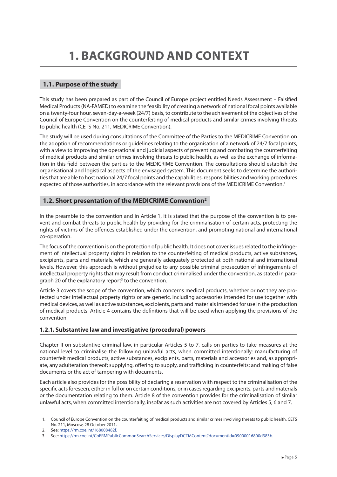#### <span id="page-5-0"></span>**1.1. Purpose of the study**

This study has been prepared as part of the Council of Europe project entitled Needs Assessment – Falsified Medical Products (NA-FAMED) to examine the feasibility of creating a network of national focal points available on a twenty-four hour, seven-day-a-week (24/7) basis, to contribute to the achievement of the objectives of the Council of Europe Convention on the counterfeiting of medical products and similar crimes involving threats to public health (CETS No. 211, MEDICRIME Convention).

The study will be used during consultations of the Committee of the Parties to the MEDICRIME Convention on the adoption of recommendations or guidelines relating to the organisation of a network of 24/7 focal points, with a view to improving the operational and judicial aspects of preventing and combating the counterfeiting of medical products and similar crimes involving threats to public health, as well as the exchange of information in this field between the parties to the MEDICRIME Convention. The consultations should establish the organisational and logistical aspects of the envisaged system. This document seeks to determine the authorities that are able to host national 24/7 focal points and the capabilities, responsibilities and working procedures expected of those authorities, in accordance with the relevant provisions of the MEDICRIME Convention.<sup>1</sup>

#### **1.2. Short presentation of the MEDICRIME Convention<sup>2</sup>**

In the preamble to the convention and in Article 1, it is stated that the purpose of the convention is to prevent and combat threats to public health by providing for the criminalisation of certain acts, protecting the rights of victims of the offences established under the convention, and promoting national and international co-operation.

The focus of the convention is on the protection of public health. It does not cover issues related to the infringement of intellectual property rights in relation to the counterfeiting of medical products, active substances, excipients, parts and materials, which are generally adequately protected at both national and international levels. However, this approach is without prejudice to any possible criminal prosecution of infringements of intellectual property rights that may result from conduct criminalised under the convention, as stated in paragraph 20 of the explanatory report<sup>3</sup> to the convention.

Article 3 covers the scope of the convention, which concerns medical products, whether or not they are protected under intellectual property rights or are generic, including accessories intended for use together with medical devices, as well as active substances, excipients, parts and materials intended for use in the production of medical products. Article 4 contains the definitions that will be used when applying the provisions of the convention.

#### **1.2.1. Substantive law and investigative (procedural) powers**

Chapter II on substantive criminal law, in particular Articles 5 to 7, calls on parties to take measures at the national level to criminalise the following unlawful acts, when committed intentionally: manufacturing of counterfeit medical products, active substances, excipients, parts, materials and accessories and, as appropriate, any adulteration thereof; supplying, offering to supply, and trafficking in counterfeits; and making of false documents or the act of tampering with documents.

Each article also provides for the possibility of declaring a reservation with respect to the criminalisation of the specific acts foreseen, either in full or on certain conditions, or in cases regarding excipients, parts and materials or the documentation relating to them. Article 8 of the convention provides for the criminalisation of similar unlawful acts, when committed intentionally, insofar as such activities are not covered by Articles 5, 6 and 7.

<sup>1.</sup> Council of Europe Convention on the counterfeiting of medical products and similar crimes involving threats to public health, CETS No. 211, Moscow, 28 October 2011.

<sup>2.</sup> See:<https://rm.coe.int/168008482f>.

<sup>3.</sup> See:<https://rm.coe.int/CoERMPublicCommonSearchServices/DisplayDCTMContent?documentId=09000016800d383b>.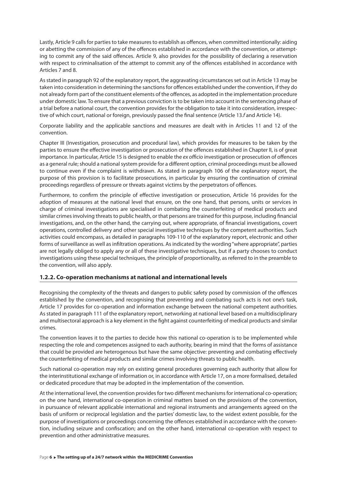Lastly, Article 9 calls for parties to take measures to establish as offences, when committed intentionally: aiding or abetting the commission of any of the offences established in accordance with the convention, or attempting to commit any of the said offences. Article 9, also provides for the possibility of declaring a reservation with respect to criminalisation of the attempt to commit any of the offences established in accordance with Articles 7 and 8.

As stated in paragraph 92 of the explanatory report, the aggravating circumstances set out in Article 13 may be taken into consideration in determining the sanctions for offences established under the convention, if they do not already form part of the constituent elements of the offences, as adopted in the implementation procedure under domestic law. To ensure that a previous conviction is to be taken into account in the sentencing phase of a trial before a national court, the convention provides for the obligation to take it into consideration, irrespective of which court, national or foreign, previously passed the final sentence (Article 13.*f* and Article 14).

Corporate liability and the applicable sanctions and measures are dealt with in Articles 11 and 12 of the convention.

Chapter III (Investigation, prosecution and procedural law), which provides for measures to be taken by the parties to ensure the effective investigation or prosecution of the offences established in Chapter II, is of great importance. In particular, Article 15 is designed to enable the *ex officio* investigation or prosecution of offences as a general rule; should a national system provide for a different option, criminal proceedings must be allowed to continue even if the complaint is withdrawn. As stated in paragraph 106 of the explanatory report, the purpose of this provision is to facilitate prosecutions, in particular by ensuring the continuation of criminal proceedings regardless of pressure or threats against victims by the perpetrators of offences.

Furthermore, to confirm the principle of effective investigation or prosecution, Article 16 provides for the adoption of measures at the national level that ensure, on the one hand, that persons, units or services in charge of criminal investigations are specialised in combating the counterfeiting of medical products and similar crimes involving threats to public health, or that persons are trained for this purpose, including financial investigations, and, on the other hand, the carrying out, where appropriate, of financial investigations, covert operations, controlled delivery and other special investigative techniques by the competent authorities. Such activities could encompass, as detailed in paragraphs 109-110 of the explanatory report, electronic and other forms of surveillance as well as infiltration operations. As indicated by the wording "where appropriate", parties are not legally obliged to apply any or all of these investigative techniques, but if a party chooses to conduct investigations using these special techniques, the principle of proportionality, as referred to in the preamble to the convention, will also apply.

#### **1.2.2. Co-operation mechanisms at national and international levels**

Recognising the complexity of the threats and dangers to public safety posed by commission of the offences established by the convention, and recognising that preventing and combating such acts is not one's task, Article 17 provides for co-operation and information exchange between the national competent authorities. As stated in paragraph 111 of the explanatory report, networking at national level based on a multidisciplinary and multisectoral approach is a key element in the fight against counterfeiting of medical products and similar crimes.

The convention leaves it to the parties to decide how this national co-operation is to be implemented while respecting the role and competences assigned to each authority, bearing in mind that the forms of assistance that could be provided are heterogenous but have the same objective: preventing and combating effectively the counterfeiting of medical products and similar crimes involving threats to public health.

Such national co-operation may rely on existing general procedures governing each authority that allow for the interinstitutional exchange of information or, in accordance with Article 17, on a more formalised, detailed or dedicated procedure that may be adopted in the implementation of the convention.

At the international level, the convention provides for two different mechanisms for international co-operation; on the one hand, international co-operation in criminal matters based on the provisions of the convention, in pursuance of relevant applicable international and regional instruments and arrangements agreed on the basis of uniform or reciprocal legislation and the parties' domestic law, to the widest extent possible, for the purpose of investigations or proceedings concerning the offences established in accordance with the convention, including seizure and confiscation; and on the other hand, international co-operation with respect to prevention and other administrative measures.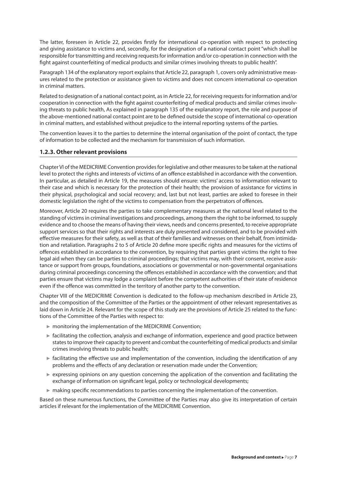The latter, foreseen in Article 22, provides firstly for international co-operation with respect to protecting and giving assistance to victims and, secondly, for the designation of a national contact point "which shall be responsible for transmitting and receiving requests for information and/or co-operation in connection with the fight against counterfeiting of medical products and similar crimes involving threats to public health".

Paragraph 134 of the explanatory report explains that Article 22, paragraph 1, covers only administrative measures related to the protection or assistance given to victims and does not concern international co-operation in criminal matters.

Related to designation of a national contact point, as in Article 22, for receiving requests for information and/or cooperation in connection with the fight against counterfeiting of medical products and similar crimes involving threats to public health, As explained in paragraph 135 of the explanatory report, the role and purpose of the above-mentioned national contact point are to be defined outside the scope of international co-operation in criminal matters, and established without prejudice to the internal reporting systems of the parties.

The convention leaves it to the parties to determine the internal organisation of the point of contact, the type of information to be collected and the mechanism for transmission of such information.

#### **1.2.3. Other relevant provisions**

Chapter VI of the MEDICRIME Convention provides for legislative and other measures to be taken at the national level to protect the rights and interests of victims of an offence established in accordance with the convention. In particular, as detailed in Article 19, the measures should ensure: victims' access to information relevant to their case and which is necessary for the protection of their health; the provision of assistance for victims in their physical, psychological and social recovery; and, last but not least, parties are asked to foresee in their domestic legislation the right of the victims to compensation from the perpetrators of offences.

Moreover, Article 20 requires the parties to take complementary measures at the national level related to the standing of victims in criminal investigations and proceedings, among them the right to be informed, to supply evidence and to choose the means of having their views, needs and concerns presented, to receive appropriate support services so that their rights and interests are duly presented and considered, and to be provided with effective measures for their safety, as well as that of their families and witnesses on their behalf, from intimidation and retaliation. Paragraphs 2 to 5 of Article 20 define more specific rights and measures for the victims of offences established in accordance to the convention, by requiring that parties grant victims the right to free legal aid when they can be parties to criminal proceedings; that victims may, with their consent, receive assistance or support from groups, foundations, associations or governmental or non-governmental organisations during criminal proceedings concerning the offences established in accordance with the convention; and that parties ensure that victims may lodge a complaint before the competent authorities of their state of residence even if the offence was committed in the territory of another party to the convention.

Chapter VIII of the MEDICRIME Convention is dedicated to the follow-up mechanism described in Article 23, and the composition of the Committee of the Parties or the appointment of other relevant representatives as laid down in Article 24. Relevant for the scope of this study are the provisions of Article 25 related to the functions of the Committee of the Parties with respect to:

- ► monitoring the implementation of the MEDICRIME Convention;
- $\triangleright$  facilitating the collection, analysis and exchange of information, experience and good practice between states to improve their capacity to prevent and combat the counterfeiting of medical products and similar crimes involving threats to public health;
- ► facilitating the effective use and implementation of the convention, including the identification of any problems and the effects of any declaration or reservation made under the Convention;
- ► expressing opinions on any question concerning the application of the convention and facilitating the exchange of information on significant legal, policy or technological developments;
- ► making specific recommendations to parties concerning the implementation of the convention.

Based on these numerous functions, the Committee of the Parties may also give its interpretation of certain articles if relevant for the implementation of the MEDICRIME Convention.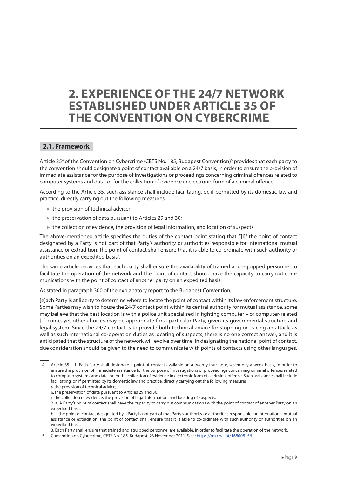### <span id="page-9-0"></span>**2. EXPERIENCE OF THE 24/7 NETWORK ESTABLISHED UNDER ARTICLE 35 OF THE CONVENTION ON CYBERCRIME**

#### **2.1. Framework**

Article 35<sup>4</sup> of the Convention on Cybercrime (CETS No. 185, Budapest Convention)<sup>5</sup> provides that each party to the convention should designate a point of contact available on a 24/7 basis, in order to ensure the provision of immediate assistance for the purpose of investigations or proceedings concerning criminal offences related to computer systems and data, or for the collection of evidence in electronic form of a criminal offence.

According to the Article 35, such assistance shall include facilitating, or, if permitted by its domestic law and practice, directly carrying out the following measures:

- $\blacktriangleright$  the provision of technical advice;
- ► the preservation of data pursuant to Articles 29 and 30;
- $\triangleright$  the collection of evidence, the provision of legal information, and location of suspects.

The above-mentioned article specifies the duties of the contact point stating that: "[i]f the point of contact designated by a Party is not part of that Party's authority or authorities responsible for international mutual assistance or extradition, the point of contact shall ensure that it is able to co-ordinate with such authority or authorities on an expedited basis".

The same article provides that each party shall ensure the availability of trained and equipped personnel to facilitate the operation of the network and the point of contact should have the capacity to carry out communications with the point of contact of another party on an expedited basis.

As stated in paragraph 300 of the explanatory report to the Budapest Convention,

[e]ach Party is at liberty to determine where to locate the point of contact within its law enforcement structure. Some Parties may wish to house the 24/7 contact point within its central authority for mutual assistance, some may believe that the best location is with a police unit specialised in fighting computer – or computer-related [–] crime, yet other choices may be appropriate for a particular Party, given its governmental structure and legal system. Since the 24/7 contact is to provide both technical advice for stopping or tracing an attack, as well as such international co-operation duties as locating of suspects, there is no one correct answer, and it is anticipated that the structure of the network will evolve over time. In designating the national point of contact, due consideration should be given to the need to communicate with points of contacts using other languages.

<sup>4.</sup> Article 35 – 1. Each Party shall designate a point of contact available on a twenty-four hour, seven-day-a-week basis, in order to ensure the provision of immediate assistance for the purpose of investigations or proceedings concerning criminal offences related to computer systems and data, or for the collection of evidence in electronic form of a criminal offence. Such assistance shall include facilitating, or, if permitted by its domestic law and practice, directly carrying out the following measures: a. the provision of technical advice;

b. the preservation of data pursuant to Articles 29 and 30;

c. the collection of evidence, the provision of legal information, and locating of suspects.

<sup>2.</sup> a. A Party's point of contact shall have the capacity to carry out communications with the point of contact of another Party on an expedited basis.

b. If the point of contact designated by a Party is not part of that Party's authority or authorities responsible for international mutual assistance or extradition, the point of contact shall ensure that it is able to co-ordinate with such authority or authorities on an expedited basis.

<sup>3.</sup> Each Party shall ensure that trained and equipped personnel are available, in order to facilitate the operation of the network.

<sup>5.</sup> Convention on Cybercrime, CETS No. 185, Budapest, 23 November 2011. See : <https://rm.coe.int/1680081561>.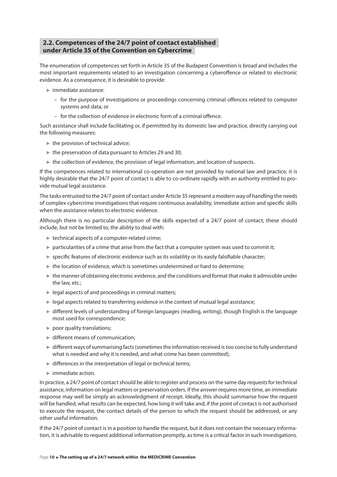#### <span id="page-10-0"></span>**2.2. Competences of the 24/7 point of contact established under Article 35 of the Convention on Cybercrime**

The enumeration of competences set forth in Article 35 of the Budapest Convention is broad and includes the most important requirements related to an investigation concerning a cyberoffence or related to electronic evidence. As a consequence, it is desirable to provide:

- ► immediate assistance:
	- for the purpose of investigations or proceedings concerning criminal offences related to computer systems and data; or
	- for the collection of evidence in electronic form of a criminal offence.

Such assistance shall include facilitating or, if permitted by its domestic law and practice, directly carrying out the following measures:

- $\blacktriangleright$  the provision of technical advice;
- ► the preservation of data pursuant to Articles 29 and 30;
- $\triangleright$  the collection of evidence, the provision of legal information, and location of suspects.

If the competences related to international co-operation are not provided by national law and practice, it is highly desirable that the 24/7 point of contact is able to co-ordinate rapidly with an authority entitled to provide mutual legal assistance.

The tasks entrusted to the 24/7 point of contact under Article 35 represent a modern way of handling the needs of complex cybercrime investigations that require continuous availability, immediate action and specific skills when the assistance relates to electronic evidence.

Although there is no particular description of the skills expected of a 24/7 point of contact, these should include, but not be limited to, the ability to deal with:

- ► technical aspects of a computer-related crime;
- ► particularities of a crime that arise from the fact that a computer system was used to commit it;
- ► specific features of electronic evidence such as its volatility or its easily falsifiable character;
- $\triangleright$  the location of evidence, which is sometimes undetermined or hard to determine;
- ► the manner of obtaining electronic evidence, and the conditions and format that make it admissible under the law, etc.;
- $\blacktriangleright$  legal aspects of and proceedings in criminal matters;
- ► legal aspects related to transferring evidence in the context of mutual legal assistance;
- ► different levels of understanding of foreign languages (reading, writing), though English is the language most used for correspondence;
- ► poor quality translations;
- ► different means of communication;
- ► different ways of summarising facts (sometimes the information received is too concise to fully understand what is needed and why it is needed, and what crime has been committed);
- ► differences in the interpretation of legal or technical terms;
- ► immediate action.

In practice, a 24/7 point of contact should be able to register and process on the same day requests for technical assistance, information on legal matters or preservation orders. If the answer requires more time, an immediate response may well be simply an acknowledgment of receipt. Ideally, this should summarise how the request will be handled, what results can be expected, how long it will take and, if the point of contact is not authorised to execute the request, the contact details of the person to which the request should be addressed, or any other useful information.

If the 24/7 point of contact is in a position to handle the request, but it does not contain the necessary information, it is advisable to request additional information promptly, as time is a critical factor in such investigations.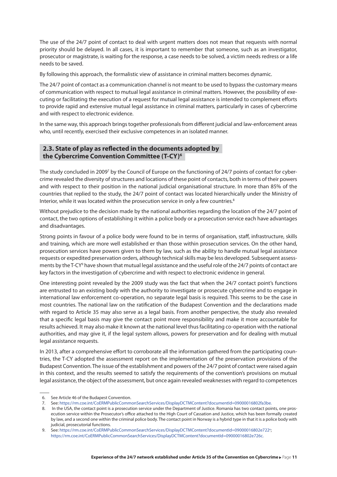<span id="page-11-0"></span>The use of the 24/7 point of contact to deal with urgent matters does not mean that requests with normal priority should be delayed. In all cases, it is important to remember that someone, such as an investigator, prosecutor or magistrate, is waiting for the response, a case needs to be solved, a victim needs redress or a life needs to be saved.

By following this approach, the formalistic view of assistance in criminal matters becomes dynamic.

The 24/7 point of contact as a communication channel is not meant to be used to bypass the customary means of communication with respect to mutual legal assistance in criminal matters. However, the possibility of executing or facilitating the execution of a request for mutual legal assistance is intended to complement efforts to provide rapid and extensive mutual legal assistance in criminal matters, particularly in cases of cybercrime and with respect to electronic evidence.

In the same way, this approach brings together professionals from different judicial and law-enforcement areas who, until recently, exercised their exclusive competences in an isolated manner.

#### **2.3. State of play as reflected in the documents adopted by the Cybercrime Convention Committee (T-CY)<sup>6</sup>**

The study concluded in 2009<sup>7</sup> by the Council of Europe on the functioning of 24/7 points of contact for cybercrime revealed the diversity of structures and locations of these point of contacts, both in terms of their powers and with respect to their position in the national judicial organisational structure. In more than 85% of the countries that replied to the study, the 24/7 point of contact was located hierarchically under the Ministry of Interior, while it was located within the prosecution service in only a few countries.<sup>8</sup>

Without prejudice to the decision made by the national authorities regarding the location of the 24/7 point of contact, the two options of establishing it within a police body or a prosecution service each have advantages and disadvantages.

Strong points in favour of a police body were found to be in terms of organisation, staff, infrastructure, skills and training, which are more well established er than those within prosecution services. On the other hand, prosecution services have powers given to them by law, such as the ability to handle mutual legal assistance requests or expedited preservation orders, although technical skills may be less developed. Subsequent assessments by the T-CY<sup>9</sup> have shown that mutual legal assistance and the useful role of the 24/7 points of contact are key factors in the investigation of cybercrime and with respect to electronic evidence in general.

One interesting point revealed by the 2009 study was the fact that when the 24/7 contact point's functions are entrusted to an existing body with the authority to investigate or prosecute cybercrime and to engage in international law enforcement co-operation, no separate legal basis is required. This seems to be the case in most countries. The national law on the ratification of the Budapest Convention and the declarations made with regard to Article 35 may also serve as a legal basis. From another perspective, the study also revealed that a specific legal basis may give the contact point more responsibility and make it more accountable for results achieved. It may also make it known at the national level thus facilitating co-operation with the national authorities, and may give it, if the legal system allows, powers for preservation and for dealing with mutual legal assistance requests.

In 2013, after a comprehensive effort to corroborate all the information gathered from the participating countries, the T-CY adopted the assessment report on the implementation of the preservation provisions of the Budapest Convention. The issue of the establishment and powers of the 24/7 point of contact were raised again in this context, and the results seemed to satisfy the requirements of the convention's provisions on mutual legal assistance, the object of the assessment, but once again revealed weaknesses with regard to competences

<sup>6.</sup> See Article 46 of the Budapest Convention.

<sup>7.</sup> See: [https://rm.coe.int/CoERMPublicCommonSearchServices/DisplayDCTMContent?documentId=09000016802fa3be.](https://rm.coe.int/CoERMPublicCommonSearchServices/DisplayDCTMContent?documentId=09000016802fa3be)

<sup>8.</sup> In the USA, the contact point is a prosecution service under the Department of Justice. Romania has two contact points, one prosecution service within the Prosecutor's office attached to the High Court of Cassation and Justice, which has been formally created by law, and a second one within the criminal police body. The contact point in Norway is a hybrid type in that it is a police body with judicial, prosecutorial functions.

<sup>9.</sup> See: [https://rm.coe.int/CoERMPublicCommonSearchServices/DisplayDCTMContent?documentId=09000016802e722](https://rm.coe.int/CoERMPublicCommonSearchServices/DisplayDCTMContent?documentId=09000016802e722e)<sup>e</sup> ; <https://rm.coe.int/CoERMPublicCommonSearchServices/DisplayDCTMContent?documentId=09000016802e726c>.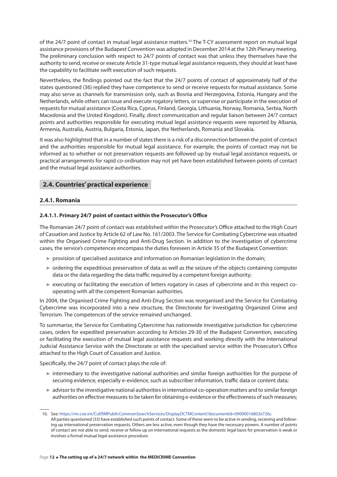<span id="page-12-0"></span>of the 24/7 point of contact in mutual legal assistance matters.<sup>10</sup> The T-CY assessment report on mutual legal assistance provisions of the Budapest Convention was adopted in December 2014 at the 12th Plenary meeting. The preliminary conclusion with respect to 24/7 points of contact was that unless they themselves have the authority to send, receive or execute Article 31-type mutual legal assistance requests, they should at least have the capability to facilitate swift execution of such requests.

Nevertheless, the findings pointed out the fact that the 24/7 points of contact of approximately half of the states questioned (36) replied they have competence to send or receive requests for mutual assistance. Some may also serve as channels for transmission only, such as Bosnia and Herzegovina, Estonia, Hungary and the Netherlands, while others can issue and execute rogatory letters, or supervise or participate in the execution of requests for mutual assistance (Costa Rica, Cyprus, Finland, Georgia, Lithuania, Norway, Romania, Serbia, North Macedonia and the United Kingdom). Finally, direct communication and regular liaison between 24/7 contact points and authorities responsible for executing mutual legal assistance requests were reported by Albania, Armenia, Australia, Austria, Bulgaria, Estonia, Japan, the Netherlands, Romania and Slovakia.

It was also highlighted that in a number of states there is a risk of a disconnection between the point of contact and the authorities responsible for mutual legal assistance. For example, the points of contact may not be informed as to whether or not preservation requests are followed up by mutual legal assistance requests, or practical arrangements for rapid co-ordination may not yet have been established between points of contact and the mutual legal assistance authorities.

#### **2.4. Countries' practical experience**

#### **2.4.1. Romania**

#### **2.4.1.1. Primary 24/7 point of contact within the Prosecutor's Office**

The Romanian 24/7 point of contact was established within the Prosecutor's Office attached to the High Court of Cassation and Justice by Article 62 of Law No. 161/2003. The Service for Combating Cybercrime was situated within the Organised Crime Fighting and Anti-Drug Section. In addition to the investigation of cybercrime cases, the service's competences encompass the duties foreseen in Article 35 of the Budapest Convention:

- $\triangleright$  provision of specialised assistance and information on Romanian legislation in the domain;
- ► ordering the expeditious preservation of data as well as the seizure of the objects containing computer data or the data regarding the data traffic required by a competent foreign authority;
- ► executing or facilitating the execution of letters rogatory in cases of cybercrime and in this respect cooperating with all the competent Romanian authorities.

In 2004, the Organised Crime Fighting and Anti-Drug Section was reorganised and the Service for Combating Cybercrime was incorporated into a new structure, the Directorate for Investigating Organized Crime and Terrorism. The competences of the service remained unchanged.

To summarise, the Service for Combating Cybercrime has nationwide investigative jurisdiction for cybercrime cases, orders for expedited preservation according to Articles 29-30 of the Budapest Convention, executing or facilitating the execution of mutual legal assistance requests and working directly with the International Judicial Assistance Service with the Directorate or with the specialised service within the Prosecutor's Office attached to the High Court of Cassation and Justice.

Specifically, the 24/7 point of contact plays the role of:

- ► intermediary to the investigative national authorities and similar foreign authorities for the purpose of securing evidence, especially e-evidence, such as subscriber information, traffic data or content data;
- ► advisor to the investigative national authorities in international co-operation matters and to similar foreign authorities on effective measures to be taken for obtaining e-evidence or the effectiveness of such measures;

<sup>10.</sup> See: [https://rm.coe.int/CoERMPublicCommonSearchServices/DisplayDCTMContent?documentId=09000016802e726c.](https://rm.coe.int/CoERMPublicCommonSearchServices/DisplayDCTMContent?documentId=09000016802e726c) All parties questioned (33) have established such points of contact. Some of these seem to be active in sending, receiving and following up international preservation requests. Others are less active, even though they have the necessary powers. A number of points of contact are not able to send, receive or follow up on international requests as the domestic legal basis for preservation is weak or involves a formal mutual legal assistance procedure.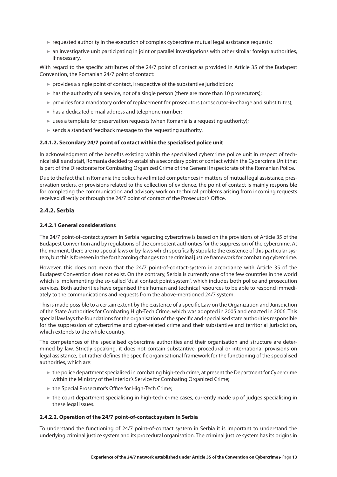- $\triangleright$  requested authority in the execution of complex cybercrime mutual legal assistance requests;
- ► an investigative unit participating in joint or parallel investigations with other similar foreign authorities, if necessary.

With regard to the specific attributes of the 24/7 point of contact as provided in Article 35 of the Budapest Convention, the Romanian 24/7 point of contact:

- $\triangleright$  provides a single point of contact, irrespective of the substantive jurisdiction;
- $\triangleright$  has the authority of a service, not of a single person (there are more than 10 prosecutors);
- ► provides for a mandatory order of replacement for prosecutors (prosecutor-in-charge and substitutes);
- ► has a dedicated e-mail address and telephone number;
- $\triangleright$  uses a template for preservation requests (when Romania is a requesting authority);
- $\triangleright$  sends a standard feedback message to the requesting authority.

#### **2.4.1.2. Secondary 24/7 point of contact within the specialised police unit**

In acknowledgment of the benefits existing within the specialised cybercrime police unit in respect of technical skills and staff, Romania decided to establish a secondary point of contact within the Cybercrime Unit that is part of the Directorate for Combating Organized Crime of the General Inspectorate of the Romanian Police.

Due to the fact that in Romania the police have limited competences in matters of mutual legal assistance, preservation orders, or provisions related to the collection of evidence, the point of contact is mainly responsible for completing the communication and advisory work on technical problems arising from incoming requests received directly or through the 24/7 point of contact of the Prosecutor's Office.

#### **2.4.2. Serbia**

#### **2.4.2.1 General considerations**

The 24/7 point-of-contact system in Serbia regarding cybercrime is based on the provisions of Article 35 of the Budapest Convention and by regulations of the competent authorities for the suppression of the cybercrime. At the moment, there are no special laws or by-laws which specifically stipulate the existence of this particular system, but this is foreseen in the forthcoming changes to the criminal justice framework for combating cybercrime.

However, this does not mean that the 24/7 point-of-contact-system in accordance with Article 35 of the Budapest Convention does not exist. On the contrary, Serbia is currently one of the few countries in the world which is implementing the so-called "dual contact point system", which includes both police and prosecution services. Both authorities have organised their human and technical resources to be able to respond immediately to the communications and requests from the above-mentioned 24/7 system.

This is made possible to a certain extent by the existence of a specific Law on the Organization and Jurisdiction of the State Authorities for Combating High-Tech Crime, which was adopted in 2005 and enacted in 2006. This special law lays the foundations for the organisation of the specific and specialised state authorities responsible for the suppression of cybercrime and cyber-related crime and their substantive and territorial jurisdiction, which extends to the whole country.

The competences of the specialised cybercrime authorities and their organisation and structure are determined by law. Strictly speaking, it does not contain substantive, procedural or international provisions on legal assistance, but rather defines the specific organisational framework for the functioning of the specialised authorities, which are:

- ► the police department specialised in combating high-tech crime, at present the Department for Cybercrime within the Ministry of the Interior's Service for Combating Organized Crime;
- ► the Special Prosecutor's Office for High-Tech Crime;
- ► the court department specialising in high-tech crime cases, currently made up of judges specialising in these legal issues.

#### **2.4.2.2. Operation of the 24/7 point-of-contact system in Serbia**

To understand the functioning of 24/7 point-of-contact system in Serbia it is important to understand the underlying criminal justice system and its procedural organisation. The criminal justice system has its origins in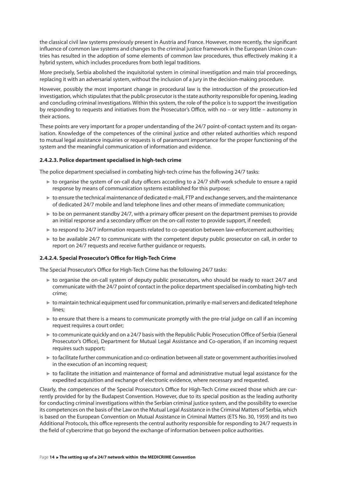the classical civil law systems previously present in Austria and France. However, more recently, the significant influence of common law systems and changes to the criminal justice framework in the European Union countries has resulted in the adoption of some elements of common law procedures, thus effectively making it a hybrid system, which includes procedures from both legal traditions.

More precisely, Serbia abolished the inquisitorial system in criminal investigation and main trial proceedings, replacing it with an adversarial system, without the inclusion of a jury in the decision-making procedure.

However, possibly the most important change in procedural law is the introduction of the prosecution-led investigation, which stipulates that the public prosecutor is the state authority responsible for opening, leading and concluding criminal investigations. Within this system, the role of the police is to support the investigation by responding to requests and initiatives from the Prosecutor's Office, with no – or very little – autonomy in their actions.

These points are very important for a proper understanding of the 24/7 point-of-contact system and its organisation. Knowledge of the competences of the criminal justice and other related authorities which respond to mutual legal assistance inquiries or requests is of paramount importance for the proper functioning of the system and the meaningful communication of information and evidence.

#### **2.4.2.3. Police department specialised in high-tech crime**

The police department specialised in combating high-tech crime has the following 24/7 tasks:

- ► to organise the system of on-call duty officers according to a 24/7 shift-work schedule to ensure a rapid response by means of communication systems established for this purpose;
- ► to ensure the technical maintenance of dedicated e-mail, FTP and exchange servers, and the maintenance of dedicated 24/7 mobile and land telephone lines and other means of immediate communication;
- ► to be on permanent standby 24/7, with a primary officer present on the department premises to provide an initial response and a secondary officer on the on-call roster to provide support, if needed;
- ► to respond to 24/7 information requests related to co-operation between law-enforcement authorities;
- ► to be available 24/7 to communicate with the competent deputy public prosecutor on call, in order to report on 24/7 requests and receive further guidance or requests.

#### **2.4.2.4. Special Prosecutor's Office for High-Tech Crime**

The Special Prosecutor's Office for High-Tech Crime has the following 24/7 tasks:

- $\triangleright$  to organise the on-call system of deputy public prosecutors, who should be ready to react 24/7 and communicate with the 24/7 point of contact in the police department specialised in combating high-tech crime;
- ► to maintain technical equipment used for communication, primarily e-mail servers and dedicated telephone lines;
- ► to ensure that there is a means to communicate promptly with the pre-trial judge on call if an incoming request requires a court order;
- ► to communicate quickly and on a 24/7 basis with the Republic Public Prosecution Office of Serbia (General Prosecutor's Office), Department for Mutual Legal Assistance and Co-operation, if an incoming request requires such support;
- ► to facilitate further communication and co-ordination between all state or government authorities involved in the execution of an incoming request;
- $\triangleright$  to facilitate the initiation and maintenance of formal and administrative mutual legal assistance for the expedited acquisition and exchange of electronic evidence, where necessary and requested.

Clearly, the competences of the Special Prosecutor's Office for High-Tech Crime exceed those which are currently provided for by the Budapest Convention. However, due to its special position as the leading authority for conducting criminal investigations within the Serbian criminal justice system, and the possibility to exercise its competences on the basis of the Law on the Mutual Legal Assistance in the Criminal Matters of Serbia, which is based on the European Convention on Mutual Assistance in Criminal Matters (ETS No. 30, 1959) and its two Additional Protocols, this office represents the central authority responsible for responding to 24/7 requests in the field of cybercrime that go beyond the exchange of information between police authorities.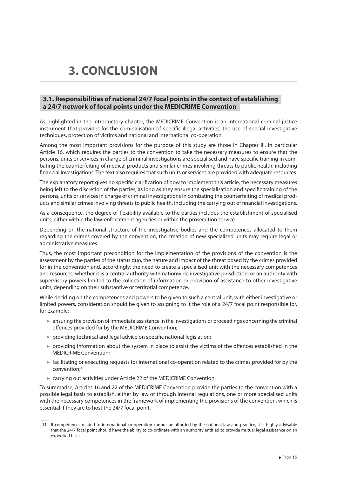#### <span id="page-15-0"></span>**3.1. Responsibilities of national 24/7 focal points in the context of establishing a 24/7 network of focal points under the MEDICRIME Convention**

As highlighted in the introductory chapter, the MEDICRIME Convention is an international criminal justice instrument that provides for the criminalisation of specific illegal activities, the use of special investigative techniques, protection of victims and national and international co-operation.

Among the most important provisions for the purpose of this study are those in Chapter III, in particular Article 16, which requires the parties to the convention to take the necessary measures to ensure that the persons, units or services in charge of criminal investigations are specialised and have specific training in combating the counterfeiting of medical products and similar crimes involving threats to public health, including financial investigations. The text also requires that such units or services are provided with adequate resources.

The explanatory report gives no specific clarification of how to implement this article, the necessary measures being left to the discretion of the parties, as long as they ensure the specialisation and specific training of the persons, units or services in charge of criminal investigations in combating the counterfeiting of medical products and similar crimes involving threats to public health, including the carrying out of financial investigations.

As a consequence, the degree of flexibility available to the parties includes the establishment of specialised units, either within the law-enforcement agencies or within the prosecution service.

Depending on the national structure of the investigative bodies and the competences allocated to them regarding the crimes covered by the convention, the creation of new specialised units may require legal or administrative measures.

Thus, the most important precondition for the implementation of the provisions of the convention is the assessment by the parties of the status quo, the nature and impact of the threat posed by the crimes provided for in the convention and, accordingly, the need to create a specialised unit with the necessary competences and resources, whether it is a central authority with nationwide investigative jurisdiction, or an authority with supervisory powers limited to the collection of information or provision of assistance to other investigative units, depending on their substantive or territorial competence.

While deciding on the competences and powers to be given to such a central unit, with either investigative or limited powers, consideration should be given to assigning to it the role of a 24/7 focal point responsible for, for example:

- ► ensuring the provision of immediate assistance in the investigations or proceedings concerning the criminal offences provided for by the MEDICRIME Convention;
- ► providing technical and legal advice on specific national legislation;
- ► providing information about the system in place to assist the victims of the offences established in the MEDICRIME Convention;
- ► facilitating or executing requests for international co-operation related to the crimes provided for by the convention;<sup>11</sup>
- ► carrying out activities under Article 22 of the MEDICRIME Convention.

To summarise, Articles 16 and 22 of the MEDICRIME Convention provide the parties to the convention with a possible legal basis to establish, either by law or through internal regulations, one or more specialised units with the necessary competences in the framework of implementing the provisions of the convention, which is essential if they are to host the 24/7 focal point.

<sup>11.</sup> If competences related to international co-operation cannot be afforded by the national law and practice, it is highly advisable that the 24/7 focal point should have the ability to co-ordinate with an authority entitled to provide mutual legal assistance on an expedited basis.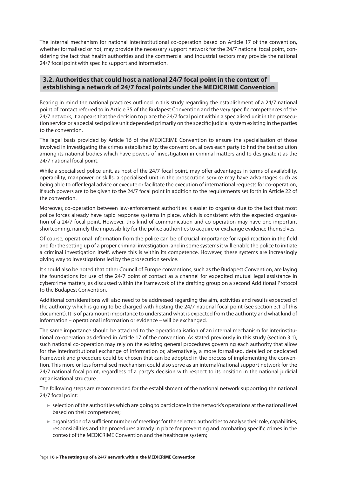<span id="page-16-0"></span>The internal mechanism for national interinstitutional co-operation based on Article 17 of the convention, whether formalised or not, may provide the necessary support network for the 24/7 national focal point, considering the fact that health authorities and the commercial and industrial sectors may provide the national 24/7 focal point with specific support and information.

#### **3.2. Authorities that could host a national 24/7 focal point in the context of establishing a network of 24/7 focal points under the MEDICRIME Convention**

Bearing in mind the national practices outlined in this study regarding the establishment of a 24/7 national point of contact referred to in Article 35 of the Budapest Convention and the very specific competences of the 24/7 network, it appears that the decision to place the 24/7 focal point within a specialised unit in the prosecution service or a specialised police unit depended primarily on the specific judicial system existing in the parties to the convention.

The legal basis provided by Article 16 of the MEDICRIME Convention to ensure the specialisation of those involved in investigating the crimes established by the convention, allows each party to find the best solution among its national bodies which have powers of investigation in criminal matters and to designate it as the 24/7 national focal point.

While a specialised police unit, as host of the 24/7 focal point, may offer advantages in terms of availability, operability, manpower or skills, a specialised unit in the prosecution service may have advantages such as being able to offer legal advice or execute or facilitate the execution of international requests for co-operation, if such powers are to be given to the 24/7 focal point in addition to the requirements set forth in Article 22 of the convention.

Moreover, co-operation between law-enforcement authorities is easier to organise due to the fact that most police forces already have rapid response systems in place, which is consistent with the expected organisation of a 24/7 focal point. However, this kind of communication and co-operation may have one important shortcoming, namely the impossibility for the police authorities to acquire or exchange evidence themselves.

Of course, operational information from the police can be of crucial importance for rapid reaction in the field and for the setting up of a proper criminal investigation, and in some systems it will enable the police to initiate a criminal investigation itself, where this is within its competence. However, these systems are increasingly giving way to investigations led by the prosecution service.

It should also be noted that other Council of Europe conventions, such as the Budapest Convention, are laying the foundations for use of the 24/7 point of contact as a channel for expedited mutual legal assistance in cybercrime matters, as discussed within the framework of the drafting group on a second Additional Protocol to the Budapest Convention.

Additional considerations will also need to be addressed regarding the aim, activities and results expected of the authority which is going to be charged with hosting the 24/7 national focal point (see section 3.1 of this document). It is of paramount importance to understand what is expected from the authority and what kind of information – operational information or evidence – will be exchanged.

The same importance should be attached to the operationalisation of an internal mechanism for interinstitutional co-operation as defined in Article 17 of the convention. As stated previously in this study (section 3.1), such national co-operation may rely on the existing general procedures governing each authority that allow for the interinstitutional exchange of information or, alternatively, a more formalised, detailed or dedicated framework and procedure could be chosen that can be adopted in the process of implementing the convention. This more or less formalised mechanism could also serve as an internal/national support network for the 24/7 national focal point, regardless of a party's decision with respect to its position in the national judicial organisational structure .

The following steps are recommended for the establishment of the national network supporting the national 24/7 focal point:

- ► selection of the authorities which are going to participate in the network's operations at the national level based on their competences;
- ► organisation of a sufficient number of meetings for the selected authorities to analyse their role, capabilities, responsibilities and the procedures already in place for preventing and combating specific crimes in the context of the MEDICRIME Convention and the healthcare system;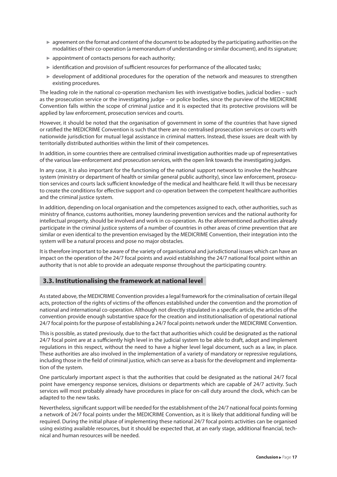- <span id="page-17-0"></span>► agreement on the format and content of the document to be adopted by the participating authorities on the modalities of their co-operation (a memorandum of understanding or similar document), and its signature;
- $\blacktriangleright$  appointment of contacts persons for each authority;
- ► identification and provision of sufficient resources for performance of the allocated tasks;
- ► development of additional procedures for the operation of the network and measures to strengthen existing procedures.

The leading role in the national co-operation mechanism lies with investigative bodies, judicial bodies – such as the prosecution service or the investigating judge – or police bodies, since the purview of the MEDICRIME Convention falls within the scope of criminal justice and it is expected that its protective provisions will be applied by law enforcement, prosecution services and courts.

However, it should be noted that the organisation of government in some of the countries that have signed or ratified the MEDICRIME Convention is such that there are no centralised prosecution services or courts with nationwide jurisdiction for mutual legal assistance in criminal matters. Instead, these issues are dealt with by territorially distributed authorities within the limit of their competences.

In addition, in some countries there are centralised criminal investigation authorities made up of representatives of the various law-enforcement and prosecution services, with the open link towards the investigating judges.

In any case, it is also important for the functioning of the national support network to involve the healthcare system (ministry or department of health or similar general public authority), since law enforcement, prosecution services and courts lack sufficient knowledge of the medical and healthcare field. It will thus be necessary to create the conditions for effective support and co-operation between the competent healthcare authorities and the criminal justice system.

In addition, depending on local organisation and the competences assigned to each, other authorities, such as ministry of finance, customs authorities, money laundering prevention services and the national authority for intellectual property, should be involved and work in co-operation. As the aforementioned authorities already participate in the criminal justice systems of a number of countries in other areas of crime prevention that are similar or even identical to the prevention envisaged by the MEDICRIME Convention, their integration into the system will be a natural process and pose no major obstacles.

It is therefore important to be aware of the variety of organisational and jurisdictional issues which can have an impact on the operation of the 24/7 focal points and avoid establishing the 24/7 national focal point within an authority that is not able to provide an adequate response throughout the participating country.

#### **3.3. Institutionalising the framework at national level**

As stated above, the MEDICRIME Convention provides a legal framework for the criminalisation of certain illegal acts, protection of the rights of victims of the offences established under the convention and the promotion of national and international co-operation. Although not directly stipulated in a specific article, the articles of the convention provide enough substantive space for the creation and institutionalisation of operational national 24/7 focal points for the purpose of establishing a 24/7 focal points network under the MEDICRIME Convention.

This is possible, as stated previously, due to the fact that authorities which could be designated as the national 24/7 focal point are at a sufficiently high level in the judicial system to be able to draft, adopt and implement regulations in this respect, without the need to have a higher level legal document, such as a law, in place. These authorities are also involved in the implementation of a variety of mandatory or repressive regulations, including those in the field of criminal justice, which can serve as a basis for the development and implementation of the system.

One particularly important aspect is that the authorities that could be designated as the national 24/7 focal point have emergency response services, divisions or departments which are capable of 24/7 activity. Such services will most probably already have procedures in place for on-call duty around the clock, which can be adapted to the new tasks.

Nevertheless, significant support will be needed for the establishment of the 24/7 national focal points forming a network of 24/7 focal points under the MEDICRIME Convention, as it is likely that additional funding will be required. During the initial phase of implementing these national 24/7 focal points activities can be organised using existing available resources, but it should be expected that, at an early stage, additional financial, technical and human resources will be needed.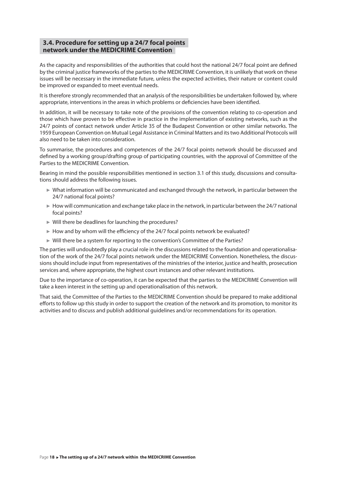#### <span id="page-18-0"></span>**3.4. Procedure for setting up a 24/7 focal points network under the MEDICRIME Convention**

As the capacity and responsibilities of the authorities that could host the national 24/7 focal point are defined by the criminal justice frameworks of the parties to the MEDICRIME Convention, it is unlikely that work on these issues will be necessary in the immediate future, unless the expected activities, their nature or content could be improved or expanded to meet eventual needs.

It is therefore strongly recommended that an analysis of the responsibilities be undertaken followed by, where appropriate, interventions in the areas in which problems or deficiencies have been identified.

In addition, it will be necessary to take note of the provisions of the convention relating to co-operation and those which have proven to be effective in practice in the implementation of existing networks, such as the 24/7 points of contact network under Article 35 of the Budapest Convention or other similar networks. The 1959 European Convention on Mutual Legal Assistance in Criminal Matters and its two Additional Protocols will also need to be taken into consideration.

To summarise, the procedures and competences of the 24/7 focal points network should be discussed and defined by a working group/drafting group of participating countries, with the approval of Committee of the Parties to the MEDICRIME Convention.

Bearing in mind the possible responsibilities mentioned in section 3.1 of this study, discussions and consultations should address the following issues.

- ► What information will be communicated and exchanged through the network, in particular between the 24/7 national focal points?
- ► How will communication and exchange take place in the network, in particular between the 24/7 national focal points?
- ► Will there be deadlines for launching the procedures?
- ► How and by whom will the efficiency of the 24/7 focal points network be evaluated?
- ► Will there be a system for reporting to the convention's Committee of the Parties?

The parties will undoubtedly play a crucial role in the discussions related to the foundation and operationalisation of the work of the 24/7 focal points network under the MEDICRIME Convention. Nonetheless, the discussions should include input from representatives of the ministries of the interior, justice and health, prosecution services and, where appropriate, the highest court instances and other relevant institutions.

Due to the importance of co-operation, it can be expected that the parties to the MEDICRIME Convention will take a keen interest in the setting up and operationalisation of this network.

That said, the Committee of the Parties to the MEDICRIME Convention should be prepared to make additional efforts to follow up this study in order to support the creation of the network and its promotion, to monitor its activities and to discuss and publish additional guidelines and/or recommendations for its operation.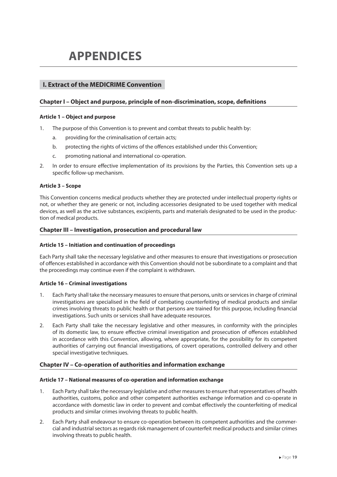## <span id="page-19-0"></span>**APPENDICES**

#### **I. Extract of the MEDICRIME Convention**

#### **Chapter I – Object and purpose, principle of non-discrimination, scope, definitions**

#### **Article 1 – Object and purpose**

- 1. The purpose of this Convention is to prevent and combat threats to public health by:
	- a. providing for the criminalisation of certain acts;
	- b. protecting the rights of victims of the offences established under this Convention;
	- c. promoting national and international co-operation.
- 2. In order to ensure effective implementation of its provisions by the Parties, this Convention sets up a specific follow-up mechanism.

#### **Article 3 – Scope**

This Convention concerns medical products whether they are protected under intellectual property rights or not, or whether they are generic or not, including accessories designated to be used together with medical devices, as well as the active substances, excipients, parts and materials designated to be used in the production of medical products.

#### **Chapter III – Investigation, prosecution and procedural law**

#### **Article 15 – Initiation and continuation of proceedings**

Each Party shall take the necessary legislative and other measures to ensure that investigations or prosecution of offences established in accordance with this Convention should not be subordinate to a complaint and that the proceedings may continue even if the complaint is withdrawn.

#### **Article 16 – Criminal investigations**

- 1. Each Party shall take the necessary measures to ensure that persons, units or services in charge of criminal investigations are specialised in the field of combating counterfeiting of medical products and similar crimes involving threats to public health or that persons are trained for this purpose, including financial investigations. Such units or services shall have adequate resources.
- 2. Each Party shall take the necessary legislative and other measures, in conformity with the principles of its domestic law, to ensure effective criminal investigation and prosecution of offences established in accordance with this Convention, allowing, where appropriate, for the possibility for its competent authorities of carrying out financial investigations, of covert operations, controlled delivery and other special investigative techniques.

#### **Chapter IV – Co-operation of authorities and information exchange**

#### **Article 17 – National measures of co-operation and information exchange**

- 1. Each Party shall take the necessary legislative and other measures to ensure that representatives of health authorities, customs, police and other competent authorities exchange information and co-operate in accordance with domestic law in order to prevent and combat effectively the counterfeiting of medical products and similar crimes involving threats to public health.
- 2. Each Party shall endeavour to ensure co-operation between its competent authorities and the commercial and industrial sectors as regards risk management of counterfeit medical products and similar crimes involving threats to public health.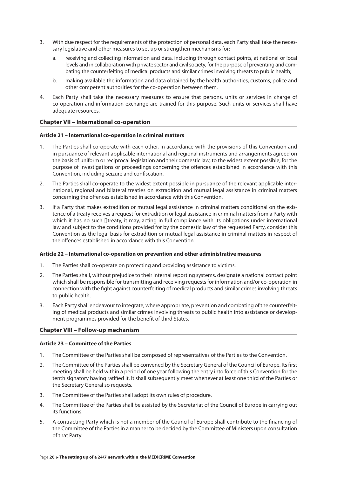- 3. With due respect for the requirements of the protection of personal data, each Party shall take the necessary legislative and other measures to set up or strengthen mechanisms for:
	- a. receiving and collecting information and data, including through contact points, at national or local levels and in collaboration with private sector and civil society, for the purpose of preventing and combating the counterfeiting of medical products and similar crimes involving threats to public health;
	- b. making available the information and data obtained by the health authorities, customs, police and other competent authorities for the co-operation between them.
- 4. Each Party shall take the necessary measures to ensure that persons, units or services in charge of co-operation and information exchange are trained for this purpose. Such units or services shall have adequate resources.

#### **Chapter VII – International co-operation**

#### **Article 21 – International co-operation in criminal matters**

- 1. The Parties shall co-operate with each other, in accordance with the provisions of this Convention and in pursuance of relevant applicable international and regional instruments and arrangements agreed on the basis of uniform or reciprocal legislation and their domestic law, to the widest extent possible, for the purpose of investigations or proceedings concerning the offences established in accordance with this Convention, including seizure and confiscation.
- 2. The Parties shall co-operate to the widest extent possible in pursuance of the relevant applicable international, regional and bilateral treaties on extradition and mutual legal assistance in criminal matters concerning the offences established in accordance with this Convention.
- 3. If a Party that makes extradition or mutual legal assistance in criminal matters conditional on the existence of a treaty receives a request for extradition or legal assistance in criminal matters from a Party with which it has no such []treaty, it may, acting in full compliance with its obligations under international law and subject to the conditions provided for by the domestic law of the requested Party, consider this Convention as the legal basis for extradition or mutual legal assistance in criminal matters in respect of the offences established in accordance with this Convention.

#### **Article 22 – International co-operation on prevention and other administrative measures**

- 1. The Parties shall co-operate on protecting and providing assistance to victims.
- 2. The Parties shall, without prejudice to their internal reporting systems, designate a national contact point which shall be responsible for transmitting and receiving requests for information and/or co-operation in connection with the fight against counterfeiting of medical products and similar crimes involving threats to public health.
- 3. Each Party shall endeavour to integrate, where appropriate, prevention and combating of the counterfeiting of medical products and similar crimes involving threats to public health into assistance or development programmes provided for the benefit of third States.

#### **Chapter VIII – Follow-up mechanism**

#### **Article 23 – Committee of the Parties**

- 1. The Committee of the Parties shall be composed of representatives of the Parties to the Convention.
- 2. The Committee of the Parties shall be convened by the Secretary General of the Council of Europe. Its first meeting shall be held within a period of one year following the entry into force of this Convention for the tenth signatory having ratified it. It shall subsequently meet whenever at least one third of the Parties or the Secretary General so requests.
- 3. The Committee of the Parties shall adopt its own rules of procedure.
- 4. The Committee of the Parties shall be assisted by the Secretariat of the Council of Europe in carrying out its functions.
- 5. A contracting Party which is not a member of the Council of Europe shall contribute to the financing of the Committee of the Parties in a manner to be decided by the Committee of Ministers upon consultation of that Party.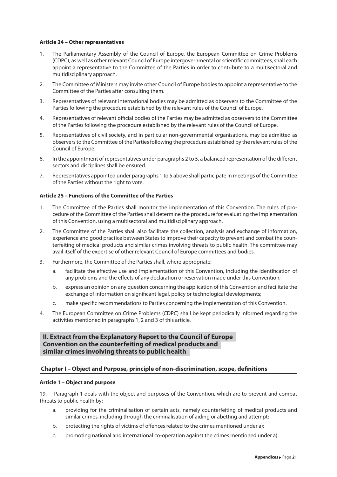#### <span id="page-21-0"></span>**Article 24 – Other representatives**

- 1. The Parliamentary Assembly of the Council of Europe, the European Committee on Crime Problems (CDPC), as well as other relevant Council of Europe intergovernmental or scientific committees, shall each appoint a representative to the Committee of the Parties in order to contribute to a multisectoral and multidisciplinary approach.
- 2. The Committee of Ministers may invite other Council of Europe bodies to appoint a representative to the Committee of the Parties after consulting them.
- 3. Representatives of relevant international bodies may be admitted as observers to the Committee of the Parties following the procedure established by the relevant rules of the Council of Europe.
- 4. Representatives of relevant official bodies of the Parties may be admitted as observers to the Committee of the Parties following the procedure established by the relevant rules of the Council of Europe.
- 5. Representatives of civil society, and in particular non-governmental organisations, may be admitted as observers to the Committee of the Parties following the procedure established by the relevant rules of the Council of Europe.
- 6. In the appointment of representatives under paragraphs 2 to 5, a balanced representation of the different sectors and disciplines shall be ensured.
- 7. Representatives appointed under paragraphs 1 to 5 above shall participate in meetings of the Committee of the Parties without the right to vote.

#### **Article 25 – Functions of the Committee of the Parties**

- 1. The Committee of the Parties shall monitor the implementation of this Convention. The rules of procedure of the Committee of the Parties shall determine the procedure for evaluating the implementation of this Convention, using a multisectoral and multidisciplinary approach.
- 2. The Committee of the Parties shall also facilitate the collection, analysis and exchange of information, experience and good practice between States to improve their capacity to prevent and combat the counterfeiting of medical products and similar crimes involving threats to public health. The committee may avail itself of the expertise of other relevant Council of Europe committees and bodies.
- 3. Furthermore, the Committee of the Parties shall, where appropriate:
	- a. facilitate the effective use and implementation of this Convention, including the identification of any problems and the effects of any declaration or reservation made under this Convention;
	- b. express an opinion on any question concerning the application of this Convention and facilitate the exchange of information on significant legal, policy or technological developments;
	- c. make specific recommendations to Parties concerning the implementation of this Convention.
- 4. The European Committee on Crime Problems (CDPC) shall be kept periodically informed regarding the activities mentioned in paragraphs 1, 2 and 3 of this article.

#### **II. Extract from the Explanatory Report to the Council of Europe Convention on the counterfeiting of medical products and similar crimes involving threats to public health**

#### **Chapter I – Object and Purpose, principle of non-discrimination, scope, definitions**

#### **Article 1 – Object and purpose**

19. Paragraph 1 deals with the object and purposes of the Convention, which are to prevent and combat threats to public health by:

- a. providing for the criminalisation of certain acts, namely counterfeiting of medical products and similar crimes, including through the criminalisation of aiding or abetting and attempt;
- b. protecting the rights of victims of offences related to the crimes mentioned under a);
- c. promoting national and international co-operation against the crimes mentioned under a).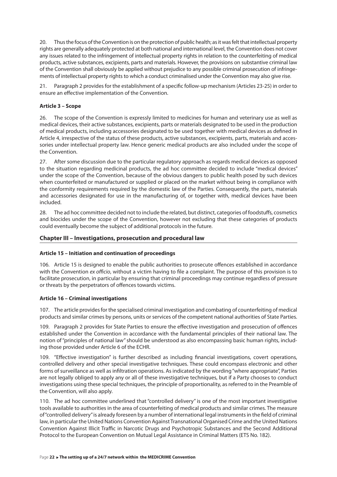20. Thus the focus of the Convention is on the protection of public health; as it was felt that intellectual property rights are generally adequately protected at both national and international level, the Convention does not cover any issues related to the infringement of intellectual property rights in relation to the counterfeiting of medical products, active substances, excipients, parts and materials. However, the provisions on substantive criminal law of the Convention shall obviously be applied without prejudice to any possible criminal prosecution of infringements of intellectual property rights to which a conduct criminalised under the Convention may also give rise.

21. Paragraph 2 provides for the establishment of a specific follow-up mechanism (Articles 23-25) in order to ensure an effective implementation of the Convention.

#### **Article 3 – Scope**

26. The scope of the Convention is expressly limited to medicines for human and veterinary use as well as medical devices, their active substances, excipients, parts or materials designated to be used in the production of medical products, including accessories designated to be used together with medical devices as defined in Article 4, irrespective of the status of these products, active substances, excipients, parts, materials and accessories under intellectual property law. Hence generic medical products are also included under the scope of the Convention.

27. After some discussion due to the particular regulatory approach as regards medical devices as opposed to the situation regarding medicinal products, the ad hoc committee decided to include "medical devices" under the scope of the Convention, because of the obvious dangers to public health posed by such devices when counterfeited or manufactured or supplied or placed on the market without being in compliance with the conformity requirements required by the domestic law of the Parties. Consequently, the parts, materials and accessories designated for use in the manufacturing of, or together with, medical devices have been included.

28. The ad hoc committee decided not to include the related, but distinct, categories of foodstuffs, cosmetics and biocides under the scope of the Convention, however not excluding that these categories of products could eventually become the subject of additional protocols in the future.

#### **Chapter III – Investigations, prosecution and procedural law**

#### **Article 15 – Initiation and continuation of proceedings**

106. Article 15 is designed to enable the public authorities to prosecute offences established in accordance with the Convention *ex officio*, without a victim having to file a complaint. The purpose of this provision is to facilitate prosecution, in particular by ensuring that criminal proceedings may continue regardless of pressure or threats by the perpetrators of offences towards victims.

#### **Article 16 – Criminal investigations**

107. The article provides for the specialised criminal investigation and combating of counterfeiting of medical products and similar crimes by persons, units or services of the competent national authorities of State Parties.

109. Paragraph 2 provides for State Parties to ensure the effective investigation and prosecution of offences established under the Convention in accordance with the fundamental principles of their national law. The notion of "principles of national law" should be understood as also encompassing basic human rights, including those provided under Article 6 of the ECHR.

109. "Effective investigation" is further described as including financial investigations, covert operations, controlled delivery and other special investigative techniques. These could encompass electronic and other forms of surveillance as well as infiltration operations. As indicated by the wording "where appropriate", Parties are not legally obliged to apply any or all of these investigative techniques, but if a Party chooses to conduct investigations using these special techniques, the principle of proportionality, as referred to in the Preamble of the Convention, will also apply.

110. The ad hoc committee underlined that "controlled delivery" is one of the most important investigative tools available to authorities in the area of counterfeiting of medical products and similar crimes. The measure of "controlled delivery" is already foreseen by a number of international legal instruments in the field of criminal law, in particular the United Nations Convention Against Transnational Organised Crime and the United Nations Convention Against Illicit Traffic in Narcotic Drugs and Psychotropic Substances and the Second Additional Protocol to the European Convention on Mutual Legal Assistance in Criminal Matters (ETS No. 182).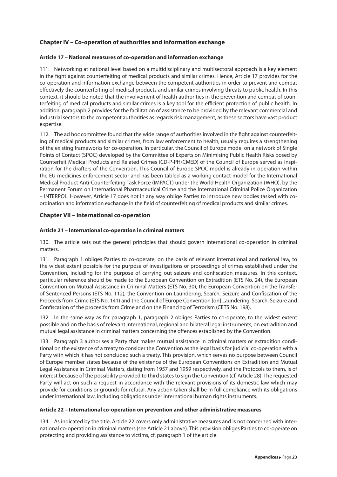#### **Article 17 – National measures of co-operation and information exchange**

111. Networking at national level based on a multidisciplinary and multisectoral approach is a key element in the fight against counterfeiting of medical products and similar crimes. Hence, Article 17 provides for the co-operation and information exchange between the competent authorities in order to prevent and combat effectively the counterfeiting of medical products and similar crimes involving threats to public health. In this context, it should be noted that the involvement of health authorities in the prevention and combat of counterfeiting of medical products and similar crimes is a key tool for the efficient protection of public health. In addition, paragraph 2 provides for the facilitation of assistance to be provided by the relevant commercial and industrial sectors to the competent authorities as regards risk management, as these sectors have vast product expertise.

112. The ad hoc committee found that the wide range of authorities involved in the fight against counterfeiting of medical products and similar crimes, from law enforcement to health, usually requires a strengthening of the existing frameworks for co-operation. In particular, the Council of Europe model on a network of Single Points of Contact (SPOC) developed by the Committee of Experts on Minimising Public Health Risks posed by Counterfeit Medical Products and Related Crimes (CD-P-PH/CMED) of the Council of Europe served as inspiration for the drafters of the Convention. This Council of Europe SPOC model is already in operation within the EU medicines enforcement sector and has been tabled as a working contact model for the International Medical Product Anti-Counterfeiting Task Force (IMPACT) under the World Health Organization (WHO), by the Permanent Forum on International Pharmaceutical Crime and the International Criminal Police Organization – INTERPOL. However, Article 17 does not in any way oblige Parties to introduce new bodies tasked with coordination and information exchange in the field of counterfeiting of medical products and similar crimes.

#### **Chapter VII – International co-operation**

#### **Article 21 – International co-operation in criminal matters**

130. The article sets out the general principles that should govern international co-operation in criminal matters.

131. Paragraph 1 obliges Parties to co-operate, on the basis of relevant international and national law, to the widest extent possible for the purpose of investigations or proceedings of crimes established under the Convention, including for the purpose of carrying out seizure and confiscation measures. In this context, particular reference should be made to the European Convention on Extradition (ETS No. 24), the European Convention on Mutual Assistance in Criminal Matters (ETS No. 30), the European Convention on the Transfer of Sentenced Persons (ETS No. 112), the Convention on Laundering, Search, Seizure and Confiscation of the Proceeds from Crime (ETS No. 141) and the Council of Europe Convention [on] Laundering, Search, Seizure and Confiscation of the proceeds from Crime and on the Financing of Terrorism (CETS No. 198).

132. In the same way as for paragraph 1, paragraph 2 obliges Parties to co-operate, to the widest extent possible and on the basis of relevant international, regional and bilateral legal instruments, on extradition and mutual legal assistance in criminal matters concerning the offences established by the Convention.

133. Paragraph 3 authorises a Party that makes mutual assistance in criminal matters or extradition conditional on the existence of a treaty to consider the Convention as the legal basis for judicial co-operation with a Party with which it has not concluded such a treaty. This provision, which serves no purpose between Council of Europe member states because of the existence of the European Conventions on Extradition and Mutual Legal Assistance in Criminal Matters, dating from 1957 and 1959 respectively, and the Protocols to them, is of interest because of the possibility provided to third states to sign the Convention (cf. Article 28). The requested Party will act on such a request in accordance with the relevant provisions of its domestic law which may provide for conditions or grounds for refusal. Any action taken shall be in full compliance with its obligations under international law, including obligations under international human rights instruments.

#### **Article 22 – International co-operation on prevention and other administrative measures**

134. As indicated by the title, Article 22 covers only administrative measures and is not concerned with international co-operation in criminal matters (see Article 21 above). This provision obliges Parties to co-operate on protecting and providing assistance to victims, cf. paragraph 1 of the article.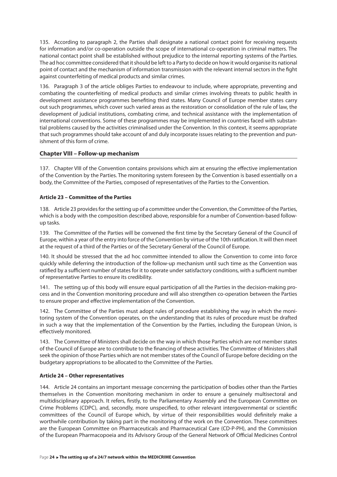135. According to paragraph 2, the Parties shall designate a national contact point for receiving requests for information and/or co-operation outside the scope of international co-operation in criminal matters. The national contact point shall be established without prejudice to the internal reporting systems of the Parties. The ad hoc committee considered that it should be left to a Party to decide on how it would organise its national point of contact and the mechanism of information transmission with the relevant internal sectors in the fight against counterfeiting of medical products and similar crimes.

136. Paragraph 3 of the article obliges Parties to endeavour to include, where appropriate, preventing and combating the counterfeiting of medical products and similar crimes involving threats to public health in development assistance programmes benefiting third states. Many Council of Europe member states carry out such programmes, which cover such varied areas as the restoration or consolidation of the rule of law, the development of judicial institutions, combating crime, and technical assistance with the implementation of international conventions. Some of these programmes may be implemented in countries faced with substantial problems caused by the activities criminalised under the Convention. In this context, it seems appropriate that such programmes should take account of and duly incorporate issues relating to the prevention and punishment of this form of crime.

#### **Chapter VIII – Follow-up mechanism**

137. Chapter VIII of the Convention contains provisions which aim at ensuring the effective implementation of the Convention by the Parties. The monitoring system foreseen by the Convention is based essentially on a body, the Committee of the Parties, composed of representatives of the Parties to the Convention.

#### **Article 23 – Committee of the Parties**

138. Article 23 provides for the setting up of a committee under the Convention, the Committee of the Parties, which is a body with the composition described above, responsible for a number of Convention-based followup tasks.

139. The Committee of the Parties will be convened the first time by the Secretary General of the Council of Europe, within a year of the entry into force of the Convention by virtue of the 10th ratification. It will then meet at the request of a third of the Parties or of the Secretary General of the Council of Europe.

140. It should be stressed that the ad hoc committee intended to allow the Convention to come into force quickly while deferring the introduction of the follow-up mechanism until such time as the Convention was ratified by a sufficient number of states for it to operate under satisfactory conditions, with a sufficient number of representative Parties to ensure its credibility.

141. The setting up of this body will ensure equal participation of all the Parties in the decision-making process and in the Convention monitoring procedure and will also strengthen co-operation between the Parties to ensure proper and effective implementation of the Convention.

142. The Committee of the Parties must adopt rules of procedure establishing the way in which the monitoring system of the Convention operates, on the understanding that its rules of procedure must be drafted in such a way that the implementation of the Convention by the Parties, including the European Union, is effectively monitored.

143. The Committee of Ministers shall decide on the way in which those Parties which are not member states of the Council of Europe are to contribute to the financing of these activities. The Committee of Ministers shall seek the opinion of those Parties which are not member states of the Council of Europe before deciding on the budgetary appropriations to be allocated to the Committee of the Parties.

#### **Article 24 – Other representatives**

144. Article 24 contains an important message concerning the participation of bodies other than the Parties themselves in the Convention monitoring mechanism in order to ensure a genuinely multisectoral and multidisciplinary approach. It refers, firstly, to the Parliamentary Assembly and the European Committee on Crime Problems (CDPC), and, secondly, more unspecified, to other relevant intergovernmental or scientific committees of the Council of Europe which, by virtue of their responsibilities would definitely make a worthwhile contribution by taking part in the monitoring of the work on the Convention. These committees are the European Committee on Pharmaceuticals and Pharmaceutical Care (CD-P-PH), and the Commission of the European Pharmacopoeia and its Advisory Group of the General Network of Official Medicines Control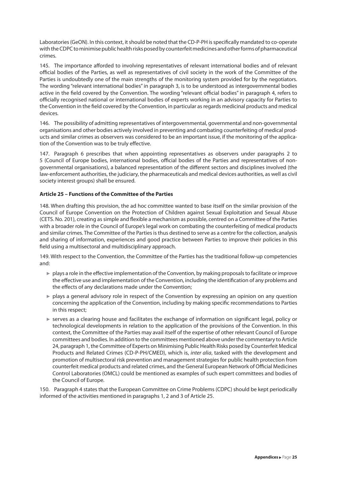Laboratories (GeON). In this context, it should be noted that the CD-P-PH is specifically mandated to co-operate with the CDPC to minimise public health risks posed by counterfeit medicines and other forms of pharmaceutical crimes.

145. The importance afforded to involving representatives of relevant international bodies and of relevant official bodies of the Parties, as well as representatives of civil society in the work of the Committee of the Parties is undoubtedly one of the main strengths of the monitoring system provided for by the negotiators. The wording "relevant international bodies" in paragraph 3, is to be understood as intergovernmental bodies active in the field covered by the Convention. The wording "relevant official bodies" in paragraph 4, refers to officially recognised national or international bodies of experts working in an advisory capacity for Parties to the Convention in the field covered by the Convention, in particular as regards medicinal products and medical devices.

146. The possibility of admitting representatives of intergovernmental, governmental and non-governmental organisations and other bodies actively involved in preventing and combating counterfeiting of medical products and similar crimes as observers was considered to be an important issue, if the monitoring of the application of the Convention was to be truly effective.

147. Paragraph 6 prescribes that when appointing representatives as observers under paragraphs 2 to 5 (Council of Europe bodies, international bodies, official bodies of the Parties and representatives of nongovernmental organisations), a balanced representation of the different sectors and disciplines involved (the law-enforcement authorities, the judiciary, the pharmaceuticals and medical devices authorities, as well as civil society interest groups) shall be ensured.

#### **Article 25 – Functions of the Committee of the Parties**

148. When drafting this provision, the ad hoc committee wanted to base itself on the similar provision of the Council of Europe Convention on the Protection of Children against Sexual Exploitation and Sexual Abuse (CETS. No. 201), creating as simple and flexible a mechanism as possible, centred on a Committee of the Parties with a broader role in the Council of Europe's legal work on combating the counterfeiting of medical products and similar crimes. The Committee of the Parties is thus destined to serve as a centre for the collection, analysis and sharing of information, experiences and good practice between Parties to improve their policies in this field using a multisectoral and multidisciplinary approach.

149. With respect to the Convention, the Committee of the Parties has the traditional follow-up competencies and:

- ► plays a role in the effective implementation of the Convention, by making proposals to facilitate or improve the effective use and implementation of the Convention, including the identification of any problems and the effects of any declarations made under the Convention;
- ► plays a general advisory role in respect of the Convention by expressing an opinion on any question concerning the application of the Convention, including by making specific recommendations to Parties in this respect;
- ► serves as a clearing house and facilitates the exchange of information on significant legal, policy or technological developments in relation to the application of the provisions of the Convention. In this context, the Committee of the Parties may avail itself of the expertise of other relevant Council of Europe committees and bodies. In addition to the committees mentioned above under the commentary to Article 24, paragraph 1, the Committee of Experts on Minimising Public Health Risks posed by Counterfeit Medical Products and Related Crimes (CD-P-PH/CMED), which is, *inter alia*, tasked with the development and promotion of multisectoral risk prevention and management strategies for public health protection from counterfeit medical products and related crimes, and the General European Network of Official Medicines Control Laboratories (OMCL) could be mentioned as examples of such expert committees and bodies of the Council of Europe.

150. Paragraph 4 states that the European Committee on Crime Problems (CDPC) should be kept periodically informed of the activities mentioned in paragraphs 1, 2 and 3 of Article 25.